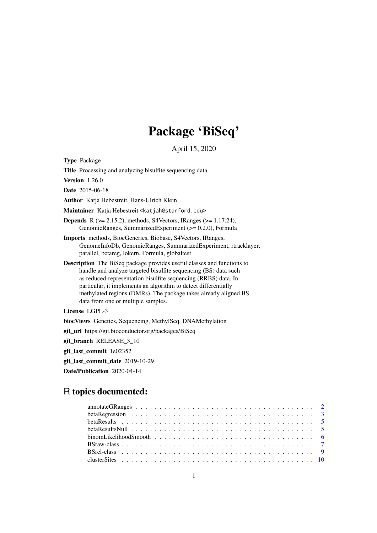# Package 'BiSeq'

April 15, 2020

<span id="page-0-0"></span>Type Package

Title Processing and analyzing bisulfite sequencing data

Version 1.26.0

Date 2015-06-18

Author Katja Hebestreit, Hans-Ulrich Klein

Maintainer Katja Hebestreit <katjah@stanford.edu>

- **Depends** R  $(>= 2.15.2)$ , methods, S4Vectors, IRanges  $(>= 1.17.24)$ , GenomicRanges, SummarizedExperiment (>= 0.2.0), Formula
- Imports methods, BiocGenerics, Biobase, S4Vectors, IRanges, GenomeInfoDb, GenomicRanges, SummarizedExperiment, rtracklayer, parallel, betareg, lokern, Formula, globaltest
- Description The BiSeq package provides useful classes and functions to handle and analyze targeted bisulfite sequencing (BS) data such as reduced-representation bisulfite sequencing (RRBS) data. In particular, it implements an algorithm to detect differentially methylated regions (DMRs). The package takes already aligned BS data from one or multiple samples.

License LGPL-3

biocViews Genetics, Sequencing, MethylSeq, DNAMethylation

git\_url https://git.bioconductor.org/packages/BiSeq

git\_branch RELEASE\_3\_10

git last commit 1e02352

git\_last\_commit\_date 2019-10-29

Date/Publication 2020-04-14

# R topics documented:

| beta Results Null $\ldots \ldots \ldots \ldots \ldots \ldots \ldots \ldots \ldots \ldots \ldots \ldots \ldots$ |  |
|----------------------------------------------------------------------------------------------------------------|--|
|                                                                                                                |  |
|                                                                                                                |  |
|                                                                                                                |  |
|                                                                                                                |  |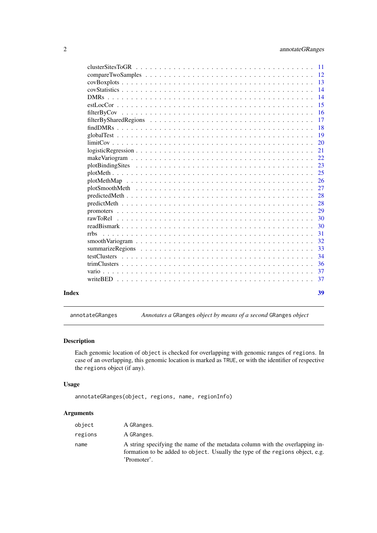<span id="page-1-0"></span>

|       |                                                                                                                     | $\overline{14}$ |
|-------|---------------------------------------------------------------------------------------------------------------------|-----------------|
|       |                                                                                                                     | 15              |
|       |                                                                                                                     |                 |
|       |                                                                                                                     | 17              |
|       |                                                                                                                     | $-18$           |
|       |                                                                                                                     | $\overline{19}$ |
|       |                                                                                                                     | 20              |
|       |                                                                                                                     |                 |
|       |                                                                                                                     |                 |
|       |                                                                                                                     |                 |
|       |                                                                                                                     | 25              |
|       |                                                                                                                     |                 |
|       |                                                                                                                     |                 |
|       |                                                                                                                     |                 |
|       | $predictMeth \dots \dots \dots \dots \dots \dots \dots \dots \dots \dots \dots \dots \dots \dots \dots \dots \dots$ | 28              |
|       |                                                                                                                     |                 |
|       |                                                                                                                     |                 |
|       |                                                                                                                     | 30              |
|       | <b>rrbs</b>                                                                                                         | -31             |
|       |                                                                                                                     | 32              |
|       |                                                                                                                     |                 |
|       |                                                                                                                     | -34             |
|       |                                                                                                                     | - 36            |
|       |                                                                                                                     |                 |
|       |                                                                                                                     |                 |
|       |                                                                                                                     |                 |
| Index |                                                                                                                     | 39              |

annotateGRanges *Annotates a* GRanges *object by means of a second* GRanges *object*

# Description

Each genomic location of object is checked for overlapping with genomic ranges of regions. In case of an overlapping, this genomic location is marked as TRUE, or with the identifier of respective the regions object (if any).

# Usage

```
annotateGRanges(object, regions, name, regionInfo)
```
# Arguments

| object  | A GRanges.                                                                                                                                                                   |
|---------|------------------------------------------------------------------------------------------------------------------------------------------------------------------------------|
| regions | A GRanges.                                                                                                                                                                   |
| name    | A string specifying the name of the metadata column with the overlapping in-<br>formation to be added to object. Usually the type of the regions object, e.g.<br>'Promoter'. |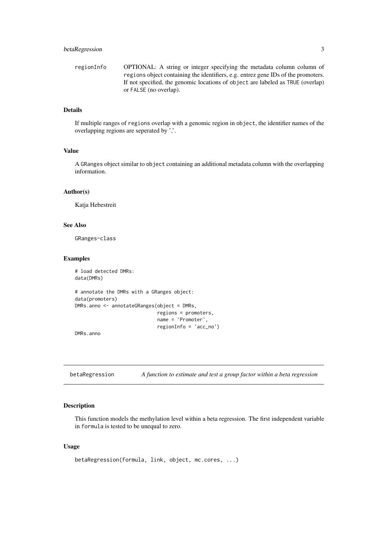<span id="page-2-0"></span>regionInfo OPTIONAL: A string or integer specifying the metadata column column of regions object containing the identifiers, e.g. entrez gene IDs of the promoters. If not specified, the genomic locations of object are labeled as TRUE (overlap) or FALSE (no overlap).

# Details

If multiple ranges of regions overlap with a genomic region in object, the identifier names of the overlapping regions are seperated by ','.

# Value

A GRanges object similar to object containing an additional metadata column with the overlapping information.

# Author(s)

Katja Hebestreit

# See Also

GRanges-class

#### Examples

```
# load detected DMRs:
data(DMRs)
# annotate the DMRs with a GRanges object:
data(promoters)
DMRs.anno <- annotateGRanges(object = DMRs,
                             regions = promoters,
                             name = 'Promoter',
                             regionInfo = 'acc_no')
```
DMRs.anno

<span id="page-2-1"></span>betaRegression *A function to estimate and test a group factor within a beta regression*

# Description

This function models the methylation level within a beta regression. The first independent variable in formula is tested to be unequal to zero.

# Usage

```
betaRegression(formula, link, object, mc.cores, ...)
```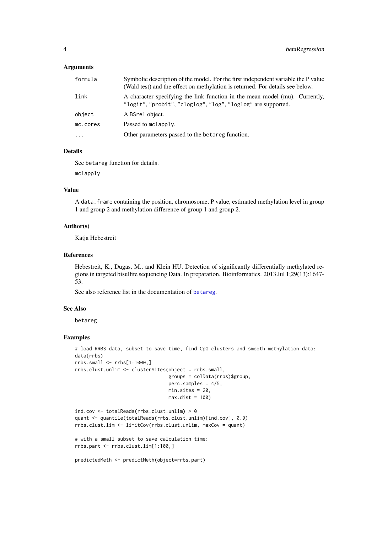#### <span id="page-3-0"></span>Arguments

| formula  | Symbolic description of the model. For the first independent variable the P value<br>(Wald test) and the effect on methylation is returned. For details see below. |
|----------|--------------------------------------------------------------------------------------------------------------------------------------------------------------------|
| link     | A character specifying the link function in the mean model (mu). Currently,<br>"logit", "probit", "cloglog", "log", "loglog" are supported.                        |
| object   | A BSrel object.                                                                                                                                                    |
| mc.cores | Passed to mclapply.                                                                                                                                                |
| $\cdots$ | Other parameters passed to the betareg function.                                                                                                                   |

#### Details

See betareg function for details.

mclapply

# Value

A data.frame containing the position, chromosome, P value, estimated methylation level in group 1 and group 2 and methylation difference of group 1 and group 2.

# Author(s)

Katja Hebestreit

# References

Hebestreit, K., Dugas, M., and Klein HU. Detection of significantly differentially methylated regions in targeted bisulfite sequencing Data. In preparation. Bioinformatics. 2013 Jul 1;29(13):1647- 53.

See also reference list in the documentation of [betareg](#page-0-0).

#### See Also

betareg

#### Examples

```
# load RRBS data, subset to save time, find CpG clusters and smooth methylation data:
data(rrbs)
rrbs.small <- rrbs[1:1000,]
rrbs.clust.unlim <- clusterSites(object = rrbs.small,
                                 groups = colData(rrbs)$group,
                                 perc.samples = 4/5,
                                 min.sites = 20,
                                 max.dist = 100ind.cov <- totalReads(rrbs.clust.unlim) > 0
quant <- quantile(totalReads(rrbs.clust.unlim)[ind.cov], 0.9)
rrbs.clust.lim <- limitCov(rrbs.clust.unlim, maxCov = quant)
# with a small subset to save calculation time:
rrbs.part <- rrbs.clust.lim[1:100,]
```
predictedMeth <- predictMeth(object=rrbs.part)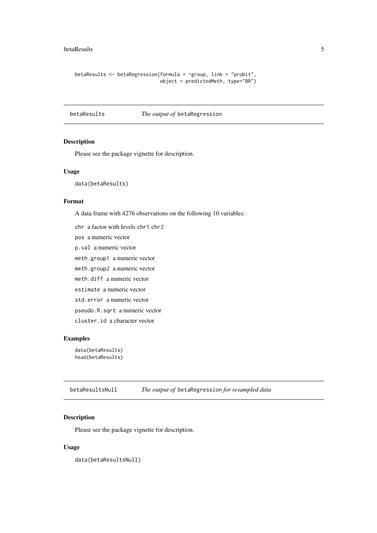#### <span id="page-4-0"></span>betaResults 5

```
betaResults <- betaRegression(formula = ~group, link = "probit",
                              object = predictedMeth, type="BR")
```
betaResults *The output of* betaRegression

#### Description

Please see the package vignette for description.

# Usage

data(betaResults)

#### Format

A data frame with 4276 observations on the following 10 variables:

chr a factor with levels chr1 chr2

pos a numeric vector

p.val a numeric vector

meth.group1 a numeric vector

meth.group2 a numeric vector

meth.diff a numeric vector

estimate a numeric vector

std.error a numeric vector

pseudo.R.sqrt a numeric vector

cluster.id a character vector

# Examples

data(betaResults) head(betaResults)

betaResultsNull *The output of* betaRegression *for resampled data*

# Description

Please see the package vignette for description.

# Usage

data(betaResultsNull)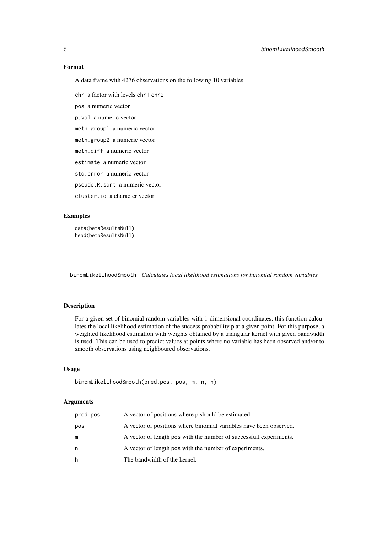#### Format

A data frame with 4276 observations on the following 10 variables.

chr a factor with levels chr1 chr2

pos a numeric vector

p.val a numeric vector

meth.group1 a numeric vector

meth.group2 a numeric vector

meth.diff a numeric vector

estimate a numeric vector

std.error a numeric vector

pseudo.R.sqrt a numeric vector

cluster.id a character vector

#### Examples

data(betaResultsNull) head(betaResultsNull)

<span id="page-5-1"></span>binomLikelihoodSmooth *Calculates local likelihood estimations for binomial random variables*

# Description

For a given set of binomial random variables with 1-dimensional coordinates, this function calculates the local likelihood estimation of the success probability p at a given point. For this purpose, a weighted likelihood estimation with weights obtained by a triangular kernel with given bandwidth is used. This can be used to predict values at points where no variable has been observed and/or to smooth observations using neighboured observations.

#### Usage

```
binomLikelihoodSmooth(pred.pos, pos, m, n, h)
```
#### Arguments

| pred.pos | A vector of positions where p should be estimated.                 |
|----------|--------------------------------------------------------------------|
| pos      | A vector of positions where binomial variables have been observed. |
| m        | A vector of length pos with the number of successfull experiments. |
| n        | A vector of length pos with the number of experiments.             |
| h        | The bandwidth of the kernel.                                       |
|          |                                                                    |

<span id="page-5-0"></span>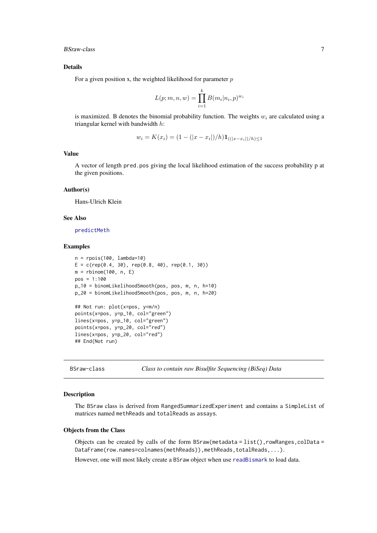#### <span id="page-6-0"></span>BSraw-class 7

#### Details

For a given position x, the weighted likelihood for parameter  $p$ 

$$
L(p; m, n, w) = \prod_{i=1}^{k} B(m_i | n_i, p)^{w_i}
$$

is maximized. B denotes the binomial probability function. The weights  $w_i$  are calculated using a triangular kernel with bandwidth h:

$$
w_i = K(x_i) = (1 - (|x - x_i|)/h)\mathbf{1}_{((|x - x_i|)/h) \le 1}
$$

# Value

A vector of length pred.pos giving the local likelihood estimation of the success probability p at the given positions.

#### Author(s)

Hans-Ulrich Klein

# See Also

[predictMeth](#page-27-1)

# Examples

```
n = rpois(100, lambda=10)
E = c(rep(0.4, 30), rep(0.8, 40), rep(0.1, 30))m = rbinom(100, n, E)
pos = 1:100
p_10 = binomLikelihoodSmooth(pos, pos, m, n, h=10)
p_20 = binomLikelihoodSmooth(pos, pos, m, n, h=20)
## Not run: plot(x=pos, y=m/n)
points(x=pos, y=p_10, col="green")
lines(x=pos, y=p_10, col="green")
points(x=pos, y=p_20, col="red")
lines(x=pos, y=p_20, col="red")
## End(Not run)
```
<span id="page-6-1"></span>BSraw-class *Class to contain raw Bisulfite Sequencing (BiSeq) Data*

#### Description

The BSraw class is derived from RangedSummarizedExperiment and contains a SimpleList of matrices named methReads and totalReads as assays.

# Objects from the Class

Objects can be created by calls of the form  $BSraw(metadata = list(), rowRangeS, colData =$ DataFrame(row.names=colnames(methReads)),methReads,totalReads,...).

However, one will most likely create a BSraw object when use [readBismark](#page-29-1) to load data.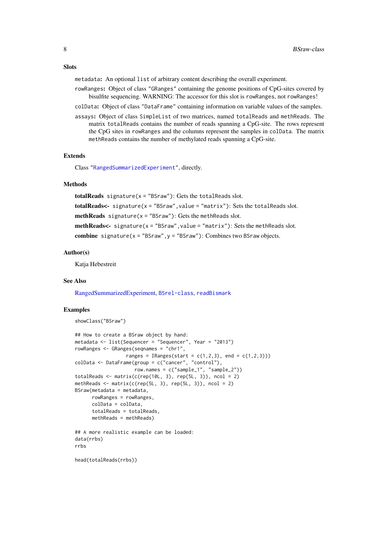<span id="page-7-0"></span>metadata: An optional list of arbitrary content describing the overall experiment.

- rowRanges: Object of class "GRanges" containing the genome positions of CpG-sites covered by bisulfite sequencing. WARNING: The accessor for this slot is rowRanges, not rowRanges!
- colData: Object of class "DataFrame" containing information on variable values of the samples.
- assays: Object of class SimpleList of two matrices, named totalReads and methReads. The matrix totalReads contains the number of reads spanning a CpG-site. The rows represent the CpG sites in rowRanges and the columns represent the samples in colData. The matrix methReads contains the number of methylated reads spanning a CpG-site.

#### Extends

Class ["RangedSummarizedExperiment"](#page-0-0), directly.

#### Methods

totalReads signature( $x =$  "BSraw"): Gets the totalReads slot. totalReads<- signature(x = "BSraw",value = "matrix"): Sets the totalReads slot. methReads signature( $x =$  "BSraw"): Gets the methReads slot. methReads<- signature(x = "BSraw",value = "matrix"): Sets the methReads slot. combine signature( $x =$  "BSraw",  $y =$  "BSraw"): Combines two BSraw objects.

# Author(s)

Katja Hebestreit

# See Also

[RangedSummarizedExperiment,](#page-0-0) [BSrel-class](#page-8-1), [readBismark](#page-29-1)

#### Examples

```
showClass("BSraw")
```

```
## How to create a BSraw object by hand:
metadata <- list(Sequencer = "Sequencer", Year = "2013")
rowRanges <- GRanges(seqnames = "chr1",
                  ranges = IRanges(start = c(1,2,3), end = c(1,2,3)))
colData <- DataFrame(group = c("cancer", "control"),
                    row.names = c("sample_1", "sample_2"))
totalReads \leq matrix(c(rep(10L, 3), rep(5L, 3)), ncol = 2)
methReads \leq matrix(c(rep(5L, 3), rep(5L, 3)), ncol = 2)
BSraw(metadata = metadata,
      rowRanges = rowRanges,
      colData = colData,
      totalReads = totalReads,
      methReads = methReads)
## A more realistic example can be loaded:
data(rrbs)
rrbs
```
head(totalReads(rrbs))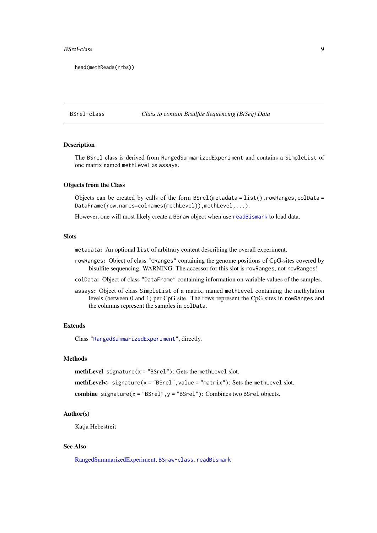#### <span id="page-8-0"></span>BSrel-class 9

head(methReads(rrbs))

<span id="page-8-1"></span>BSrel-class *Class to contain Bisulfite Sequencing (BiSeq) Data*

#### Description

The BSrel class is derived from RangedSummarizedExperiment and contains a SimpleList of one matrix named methLevel as assays.

# Objects from the Class

Objects can be created by calls of the form  $BSrel(metadata = list(), rowRanges, colData =$ DataFrame(row.names=colnames(methLevel)),methLevel,...).

However, one will most likely create a BSraw object when use [readBismark](#page-29-1) to load data.

# Slots

metadata: An optional list of arbitrary content describing the overall experiment.

- rowRanges: Object of class "GRanges" containing the genome positions of CpG-sites covered by bisulfite sequencing. WARNING: The accessor for this slot is rowRanges, not rowRanges!
- colData: Object of class "DataFrame" containing information on variable values of the samples.
- assays: Object of class SimpleList of a matrix, named methLevel containing the methylation levels (between 0 and 1) per CpG site. The rows represent the CpG sites in rowRanges and the columns represent the samples in colData.

# Extends

Class ["RangedSummarizedExperiment"](#page-0-0), directly.

# **Methods**

**methLevel** signature( $x = "BSrel")$ : Gets the methLevel slot.

methLevel<- signature( $x =$  "BSrel", value = "matrix"): Sets the methLevel slot.

combine signature( $x =$  "BSrel", $y =$  "BSrel"): Combines two BSrel objects.

# Author(s)

Katia Hebestreit

# See Also

[RangedSummarizedExperiment,](#page-0-0) [BSraw-class](#page-6-1), [readBismark](#page-29-1)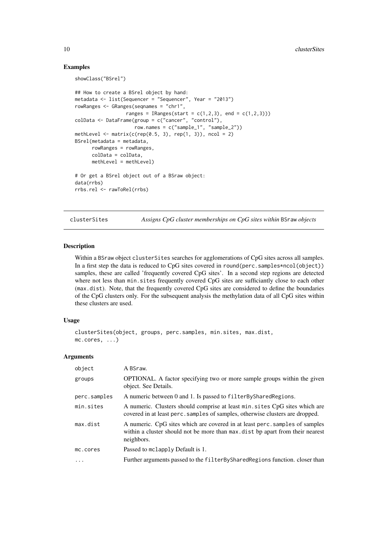#### Examples

showClass("BSrel")

```
## How to create a BSrel object by hand:
metadata <- list(Sequencer = "Sequencer", Year = "2013")
rowRanges <- GRanges(seqnames = "chr1",
                  ranges = IRanges(start = c(1,2,3), end = c(1,2,3)))
colData <- DataFrame(group = c("cancer", "control"),
                    row.names = c("sample_1", "sample_2"))
methLevel \leq matrix(c(rep(0.5, 3), rep(1, 3)), ncol = 2)
BSrel(metadata = metadata,
      rowRanges = rowRanges,
      colData = colData,
      methLevel = methLevel)
# Or get a BSrel object out of a BSraw object:
data(rrbs)
rrbs.rel <- rawToRel(rrbs)
```
<span id="page-9-1"></span>clusterSites *Assigns CpG cluster memberships on CpG sites within* BSraw *objects*

# Description

Within a BSraw object clusterSites searches for agglomerations of CpG sites across all samples. In a first step the data is reduced to CpG sites covered in round(perc.samples\*ncol(object)) samples, these are called 'frequently covered CpG sites'. In a second step regions are detected where not less than min. sites frequently covered CpG sites are sufficiantly close to each other (max.dist). Note, that the frequently covered CpG sites are considered to define the boundaries of the CpG clusters only. For the subsequent analysis the methylation data of all CpG sites within these clusters are used.

#### Usage

```
clusterSites(object, groups, perc.samples, min.sites, max.dist,
mc.cores, ...)
```
#### Arguments

| object       | A BSraw.                                                                                                                                                                   |
|--------------|----------------------------------------------------------------------------------------------------------------------------------------------------------------------------|
| groups       | <b>OPTIONAL.</b> A factor specifying two or more sample groups within the given<br>object. See Details.                                                                    |
| perc.samples | A numeric between 0 and 1. Is passed to filter By Shared Regions.                                                                                                          |
| min.sites    | A numeric. Clusters should comprise at least min. sites CpG sites which are<br>covered in at least perc. samples of samples, otherwise clusters are dropped.               |
| max.dist     | A numeric. CpG sites which are covered in at least perc. samples of samples<br>within a cluster should not be more than max dist bp apart from their nearest<br>neighbors. |
| mc.cores     | Passed to mclapply Default is 1.                                                                                                                                           |
| $\ddotsc$    | Further arguments passed to the filter By Shared Regions function. closer than                                                                                             |

<span id="page-9-0"></span>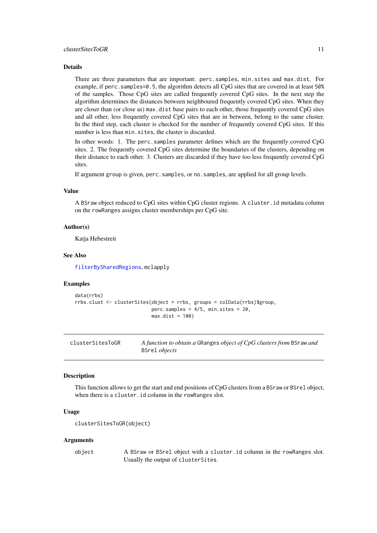#### <span id="page-10-0"></span>Details

There are three parameters that are important: perc.samples, min.sites and max.dist. For example, if perc.samples=0.5, the algorithm detects all CpG sites that are covered in at least 50% of the samples. Those CpG sites are called frequently covered CpG sites. In the next step the algorithm determines the distances between neighboured frequently covered CpG sites. When they are closer than (or close as) max.dist base pairs to each other, those frequently covered CpG sites and all other, less frequently covered CpG sites that are in between, belong to the same cluster. In the third step, each cluster is checked for the number of frequently covered CpG sites. If this number is less than min.sites, the cluster is discarded.

In other words: 1. The perc.samples parameter defines which are the frequently covered CpG sites. 2. The frequently covered CpG sites determine the boundaries of the clusters, depending on their distance to each other. 3. Clusters are discarded if they have too less frequently covered CpG sites.

If argument group is given, perc.samples, or no.samples, are applied for all group levels.

# Value

A BSraw object reduced to CpG sites within CpG cluster regions. A cluster.id metadata column on the rowRanges assigns cluster memberships per CpG site.

#### Author(s)

Katja Hebestreit

#### See Also

[filterBySharedRegions](#page-16-1), mclapply

#### Examples

```
data(rrbs)
rrbs.clust <- clusterSites(object = rrbs, groups = colData(rrbs)$group,
                           perc.samples = 4/5, min.sites = 20.
                           max.dist = 100
```

| clusterSitesToGR | A function to obtain a GRanges object of CpG clusters from BSraw and |
|------------------|----------------------------------------------------------------------|
|                  | BSrel <i>objects</i>                                                 |

#### Description

This function allows to get the start and end positions of CpG clusters from a BSraw or BSrel object, when there is a cluster.id column in the rowRanges slot.

# Usage

```
clusterSitesToGR(object)
```
#### Arguments

object A BSraw or BSrel object with a cluster.id column in the rowRanges slot. Usually the output of clusterSites.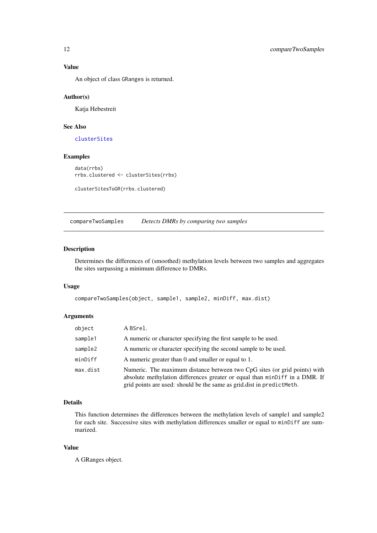# Value

An object of class GRanges is returned.

# Author(s)

Katja Hebestreit

# See Also

[clusterSites](#page-9-1)

# Examples

```
data(rrbs)
rrbs.clustered <- clusterSites(rrbs)
```

```
clusterSitesToGR(rrbs.clustered)
```
compareTwoSamples *Detects DMRs by comparing two samples*

# Description

Determines the differences of (smoothed) methylation levels between two samples and aggregates the sites surpassing a minimum difference to DMRs.

#### Usage

```
compareTwoSamples(object, sample1, sample2, minDiff, max.dist)
```
#### Arguments

| object   | A BSrel.                                                                                                                                                                                                                          |
|----------|-----------------------------------------------------------------------------------------------------------------------------------------------------------------------------------------------------------------------------------|
| sample1  | A numeric or character specifying the first sample to be used.                                                                                                                                                                    |
| sample2  | A numeric or character specifying the second sample to be used.                                                                                                                                                                   |
| minDiff  | A numeric greater than 0 and smaller or equal to 1.                                                                                                                                                                               |
| max.dist | Numeric. The maximum distance between two CpG sites (or grid points) with<br>absolute methylation differences greater or equal than minDiff in a DMR. If<br>grid points are used: should be the same as grid.dist in predictMeth. |

# Details

This function determines the differences between the methylation levels of sample1 and sample2 for each site. Successive sites with methylation differences smaller or equal to minDiff are summarized.

# Value

A GRanges object.

<span id="page-11-0"></span>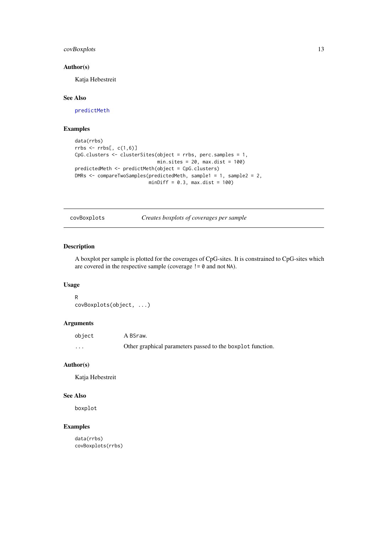#### <span id="page-12-0"></span>covBoxplots 13

## Author(s)

Katja Hebestreit

# See Also

[predictMeth](#page-27-1)

# Examples

```
data(rrbs)
rrbs \leq rrbs[, c(1,6)]
CpG.clusters <- clusterSites(object = rrbs, perc.samples = 1,
                            min.sites = 20, max.dist = 100)
predictedMeth <- predictMeth(object = CpG.clusters)
DMRs <- compareTwoSamples(predictedMeth, sample1 = 1, sample2 = 2,
                          minDiff = 0.3, max.dist = 100
```
covBoxplots *Creates boxplots of coverages per sample*

# Description

A boxplot per sample is plotted for the coverages of CpG-sites. It is constrained to CpG-sites which are covered in the respective sample (coverage != 0 and not NA).

# Usage

```
R
covBoxplots(object, ...)
```
# Arguments

| object   | A BSraw.                                                   |
|----------|------------------------------------------------------------|
| $\cdots$ | Other graphical parameters passed to the boxplot function. |

# Author(s)

Katja Hebestreit

# See Also

boxplot

# Examples

data(rrbs) covBoxplots(rrbs)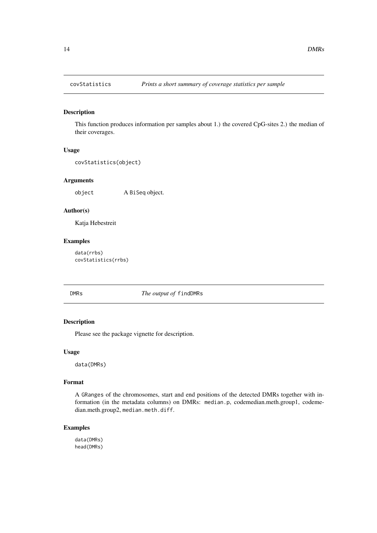<span id="page-13-0"></span>

This function produces information per samples about 1.) the covered CpG-sites 2.) the median of their coverages.

# Usage

```
covStatistics(object)
```
# Arguments

object A BiSeq object.

# Author(s)

Katja Hebestreit

# Examples

data(rrbs) covStatistics(rrbs)

# DMRs *The output of* findDMRs

# Description

Please see the package vignette for description.

#### Usage

data(DMRs)

# Format

A GRanges of the chromosomes, start and end positions of the detected DMRs together with information (in the metadata columns) on DMRs: median.p, codemedian.meth.group1, codemedian.meth.group2, median.meth.diff.

# Examples

data(DMRs) head(DMRs)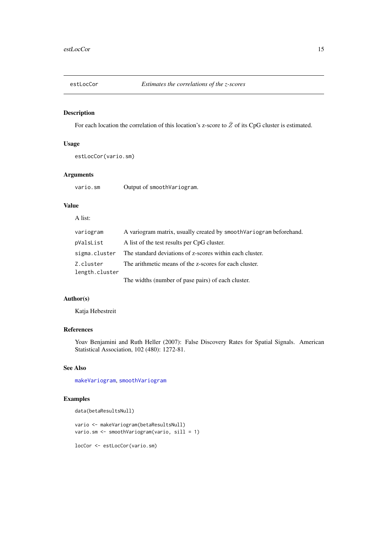<span id="page-14-1"></span><span id="page-14-0"></span>

For each location the correlation of this location's z-score to  $\overline{Z}$  of its CpG cluster is estimated.

# Usage

estLocCor(vario.sm)

# Arguments

vario.sm Output of smoothVariogram.

# Value

# A list:

| variogram                   | A variogram matrix, usually created by smooth Variogram beforehand.    |
|-----------------------------|------------------------------------------------------------------------|
| pValsList                   | A list of the test results per CpG cluster.                            |
|                             | sigma.cluster The standard deviations of z-scores within each cluster. |
| Z.cluster<br>length.cluster | The arithmetic means of the z-scores for each cluster.                 |
|                             | The widths (number of pase pairs) of each cluster.                     |

# Author(s)

Katja Hebestreit

# References

Yoav Benjamini and Ruth Heller (2007): False Discovery Rates for Spatial Signals. American Statistical Association, 102 (480): 1272-81.

# See Also

[makeVariogram](#page-21-1), [smoothVariogram](#page-31-1)

# Examples

```
data(betaResultsNull)
```
vario <- makeVariogram(betaResultsNull) vario.sm <- smoothVariogram(vario, sill = 1)

locCor <- estLocCor(vario.sm)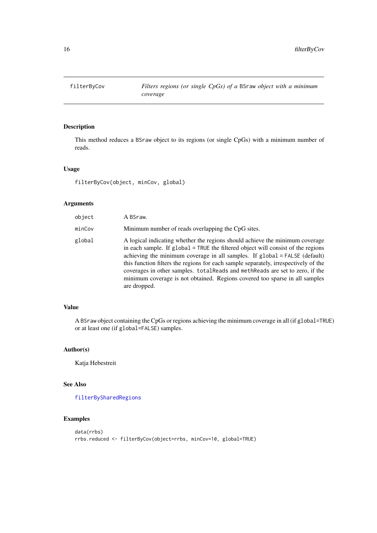<span id="page-15-1"></span><span id="page-15-0"></span>

This method reduces a BSraw object to its regions (or single CpGs) with a minimum number of reads.

#### Usage

filterByCov(object, minCov, global)

# Arguments

| object | A BSraw.                                                                                                                                                                                                                                                                                                                                                                                                                                                                                                             |
|--------|----------------------------------------------------------------------------------------------------------------------------------------------------------------------------------------------------------------------------------------------------------------------------------------------------------------------------------------------------------------------------------------------------------------------------------------------------------------------------------------------------------------------|
| minCov | Minimum number of reads overlapping the CpG sites.                                                                                                                                                                                                                                                                                                                                                                                                                                                                   |
| global | A logical indicating whether the regions should achieve the minimum coverage<br>in each sample. If global = TRUE the filtered object will consist of the regions<br>achieving the minimum coverage in all samples. If global = FALSE (default)<br>this function filters the regions for each sample separately, irrespectively of the<br>coverages in other samples. totalReads and methReads are set to zero, if the<br>minimum coverage is not obtained. Regions covered too sparse in all samples<br>are dropped. |

# Value

A BSraw object containing the CpGs or regions achieving the minimum coverage in all (if global=TRUE) or at least one (if global=FALSE) samples.

# Author(s)

Katja Hebestreit

# See Also

[filterBySharedRegions](#page-16-1)

```
data(rrbs)
rrbs.reduced <- filterByCov(object=rrbs, minCov=10, global=TRUE)
```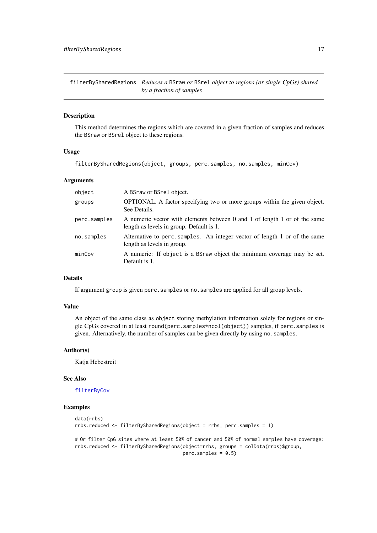<span id="page-16-1"></span><span id="page-16-0"></span>filterBySharedRegions *Reduces a* BSraw *or* BSrel *object to regions (or single CpGs) shared by a fraction of samples*

# Description

This method determines the regions which are covered in a given fraction of samples and reduces the BSraw or BSrel object to these regions.

# Usage

filterBySharedRegions(object, groups, perc.samples, no.samples, minCov)

#### Arguments

| object       | A BSraw or BSrel object.                                                                                              |
|--------------|-----------------------------------------------------------------------------------------------------------------------|
| groups       | <b>OPTIONAL.</b> A factor specifying two or more groups within the given object.<br>See Details.                      |
| perc.samples | A numeric vector with elements between 0 and 1 of length 1 or of the same<br>length as levels in group. Default is 1. |
| no.samples   | Alternative to perc. samples. An integer vector of length 1 or of the same<br>length as levels in group.              |
| minCov       | A numeric: If object is a BSraw object the minimum coverage may be set.<br>Default is 1.                              |

# Details

If argument group is given perc.samples or no.samples are applied for all group levels.

# Value

An object of the same class as object storing methylation information solely for regions or single CpGs covered in at least round(perc.samples\*ncol(object)) samples, if perc.samples is given. Alternatively, the number of samples can be given directly by using no.samples.

# Author(s)

Katja Hebestreit

### See Also

# [filterByCov](#page-15-1)

```
data(rrbs)
rrbs.reduced <- filterBySharedRegions(object = rrbs, perc.samples = 1)
# Or filter CpG sites where at least 50% of cancer and 50% of normal samples have coverage:
rrbs.reduced <- filterBySharedRegions(object=rrbs, groups = colData(rrbs)$group,
                                      perc.samples = 0.5)
```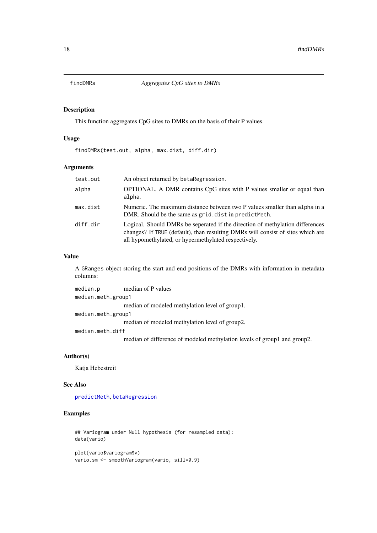<span id="page-17-0"></span>

This function aggregates CpG sites to DMRs on the basis of their P values.

#### Usage

findDMRs(test.out, alpha, max.dist, diff.dir)

### Arguments

| test.out | An object returned by betaRegression.                                                                                                                                                                                    |
|----------|--------------------------------------------------------------------------------------------------------------------------------------------------------------------------------------------------------------------------|
| alpha    | OPTIONAL. A DMR contains CpG sites with P values smaller or equal than<br>alpha.                                                                                                                                         |
| max.dist | Numeric. The maximum distance between two P values smaller than alpha in a<br>DMR. Should be the same as grid. dist in predict Meth.                                                                                     |
| diff.dir | Logical. Should DMRs be seperated if the direction of methylation differences<br>changes? If TRUE (default), than resulting DMRs will consist of sites which are<br>all hypomethylated, or hypermethylated respectively. |

# Value

A GRanges object storing the start and end positions of the DMRs with information in metadata columns:

```
median.p median of P values
median.meth.group1
                median of modeled methylation level of group1.
median.meth.group1
                median of modeled methylation level of group2.
median.meth.diff
```
median of difference of modeled methylation levels of group1 and group2.

# Author(s)

Katja Hebestreit

# See Also

[predictMeth](#page-27-1), [betaRegression](#page-2-1)

```
## Variogram under Null hypothesis (for resampled data):
data(vario)
plot(vario$variogram$v)
```

```
vario.sm <- smoothVariogram(vario, sill=0.9)
```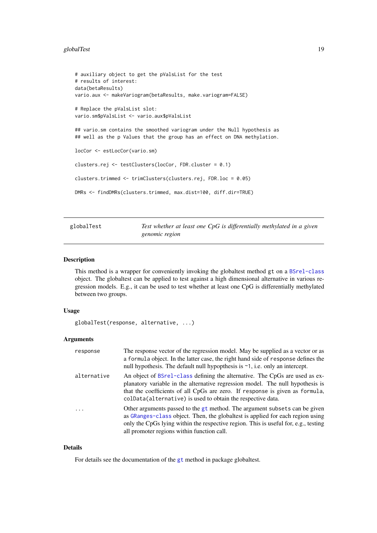#### <span id="page-18-0"></span>globalTest 19

```
# auxiliary object to get the pValsList for the test
# results of interest:
data(betaResults)
vario.aux <- makeVariogram(betaResults, make.variogram=FALSE)
# Replace the pValsList slot:
vario.sm$pValsList <- vario.aux$pValsList
## vario.sm contains the smoothed variogram under the Null hypothesis as
## well as the p Values that the group has an effect on DNA methylation.
locCor <- estLocCor(vario.sm)
clusters.rej <- testClusters(locCor, FDR.cluster = 0.1)
clusters.trimmed <- trimClusters(clusters.rej, FDR.loc = 0.05)
DMRs <- findDMRs(clusters.trimmed, max.dist=100, diff.dir=TRUE)
```
globalTest *Test whether at least one CpG is differentially methylated in a given genomic region*

# Description

This method is a wrapper for conveniently invoking the globaltest method gt on a [BSrel-class](#page-8-1) object. The globaltest can be applied to test against a high dimensional alternative in various regression models. E.g., it can be used to test whether at least one CpG is differentially methylated between two groups.

#### Usage

```
globalTest(response, alternative, ...)
```
#### Arguments

| response    | The response vector of the regression model. May be supplied as a vector or as<br>a formula object. In the latter case, the right hand side of response defines the<br>null hypothesis. The default null hypopthesis is $\sim$ 1, i.e. only an intercept.                                                    |
|-------------|--------------------------------------------------------------------------------------------------------------------------------------------------------------------------------------------------------------------------------------------------------------------------------------------------------------|
| alternative | An object of BSrel-class defining the alternative. The CpGs are used as ex-<br>planatory variable in the alternative regression model. The null hypothesis is<br>that the coefficients of all CpGs are zero. If response is given as formula,<br>colData(alternative) is used to obtain the respective data. |
| $\ddots$ .  | Other arguments passed to the gt method. The argument subsets can be given<br>as GRanges-class object. Then, the globaltest is applied for each region using<br>only the CpGs lying within the respective region. This is useful for, e.g., testing<br>all promoter regions within function call.            |

# Details

For details see the documentation of the [gt](#page-0-0) method in package globaltest.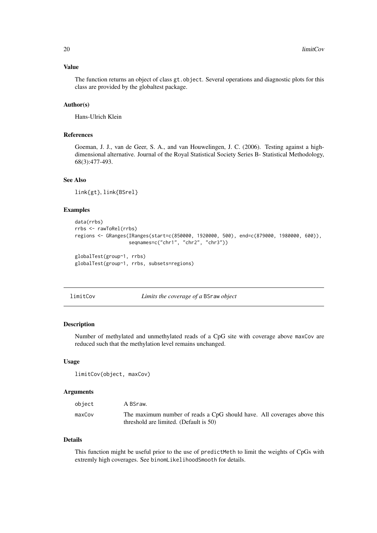#### <span id="page-19-0"></span>Value

The function returns an object of class gt.object. Several operations and diagnostic plots for this class are provided by the globaltest package.

#### Author(s)

Hans-Ulrich Klein

#### References

Goeman, J. J., van de Geer, S. A., and van Houwelingen, J. C. (2006). Testing against a highdimensional alternative. Journal of the Royal Statistical Society Series B- Statistical Methodology, 68(3):477-493.

# See Also

link{gt}, link{BSrel}

#### Examples

```
data(rrbs)
rrbs <- rawToRel(rrbs)
regions <- GRanges(IRanges(start=c(850000, 1920000, 500), end=c(879000, 1980000, 600)),
                   seqnames=c("chr1", "chr2", "chr3"))
globalTest(group~1, rrbs)
globalTest(group~1, rrbs, subsets=regions)
```
<span id="page-19-1"></span>limitCov *Limits the coverage of a* BSraw *object*

#### Description

Number of methylated and unmethylated reads of a CpG site with coverage above maxCov are reduced such that the methylation level remains unchanged.

#### Usage

limitCov(object, maxCov)

#### Arguments

| object | A BSraw.                                                                |
|--------|-------------------------------------------------------------------------|
| maxCov | The maximum number of reads a CpG should have. All coverages above this |
|        | threshold are limited. (Default is 50)                                  |

# Details

This function might be useful prior to the use of predictMeth to limit the weights of CpGs with extremly high coverages. See binomLikelihoodSmooth for details.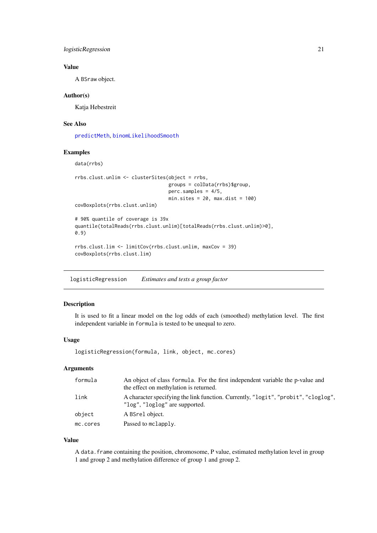<span id="page-20-0"></span>logisticRegression 21

# Value

A BSraw object.

#### Author(s)

Katja Hebestreit

#### See Also

[predictMeth](#page-27-1), [binomLikelihoodSmooth](#page-5-1)

#### Examples

data(rrbs)

```
rrbs.clust.unlim <- clusterSites(object = rrbs,
                                 groups = colData(rrbs)$group,
                                 perc.samples = 4/5,
                                 min.sites = 20, max.dist = 100)
covBoxplots(rrbs.clust.unlim)
```

```
# 90% quantile of coverage is 39x
quantile(totalReads(rrbs.clust.unlim)[totalReads(rrbs.clust.unlim)>0],
0.9)
```

```
rrbs.clust.lim <- limitCov(rrbs.clust.unlim, maxCov = 39)
covBoxplots(rrbs.clust.lim)
```
logisticRegression *Estimates and tests a group factor*

# Description

It is used to fit a linear model on the log odds of each (smoothed) methylation level. The first independent variable in formula is tested to be unequal to zero.

#### Usage

logisticRegression(formula, link, object, mc.cores)

# Arguments

| formula  | An object of class formula. For the first independent variable the p-value and<br>the effect on methylation is returned. |
|----------|--------------------------------------------------------------------------------------------------------------------------|
| link     | A character specifying the link function. Currently, "logit", "probit", "cloglog",<br>"log", "loglog" are supported.     |
| object   | A BSrel object.                                                                                                          |
| mc.cores | Passed to mclapply.                                                                                                      |

# Value

A data.frame containing the position, chromosome, P value, estimated methylation level in group 1 and group 2 and methylation difference of group 1 and group 2.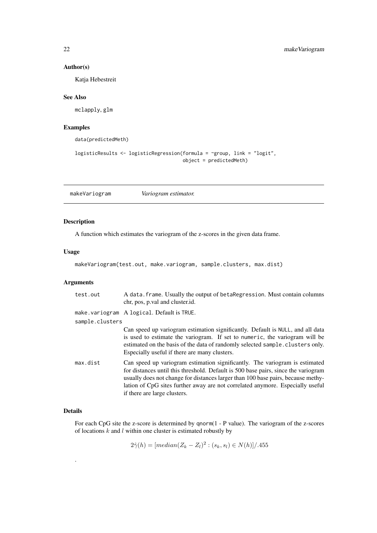#### Author(s)

Katja Hebestreit

#### See Also

mclapply, glm

# Examples

data(predictedMeth)

```
logisticResults <- logisticRegression(formula = ~group, link = "logit",
                                      object = predictedMeth)
```
<span id="page-21-1"></span>makeVariogram *Variogram estimator.*

# Description

A function which estimates the variogram of the z-scores in the given data frame.

#### Usage

makeVariogram(test.out, make.variogram, sample.clusters, max.dist)

# Arguments

| test.out        | A data. frame. Usually the output of betaRegression. Must contain columns<br>chr, pos, p.val and cluster.id.                                                                                                                                                                                                                                                            |
|-----------------|-------------------------------------------------------------------------------------------------------------------------------------------------------------------------------------------------------------------------------------------------------------------------------------------------------------------------------------------------------------------------|
|                 | make.variogram Alogical. Default is TRUE.                                                                                                                                                                                                                                                                                                                               |
| sample.clusters |                                                                                                                                                                                                                                                                                                                                                                         |
|                 | Can speed up variogram estimation significantly. Default is NULL, and all data<br>is used to estimate the variogram. If set to numeric, the variogram will be<br>estimated on the basis of the data of randomly selected sample. clusters only.<br>Especially useful if there are many clusters.                                                                        |
| max.dist        | Can speed up variogram estimation significantly. The variogram is estimated<br>for distances until this threshold. Default is 500 base pairs, since the variogram<br>usually does not change for distances larger than 100 base pairs, because methy-<br>lation of CpG sites further away are not correlated anymore. Especially useful<br>if there are large clusters. |

# Details

.

For each CpG site the z-score is determined by qnorm(1 - P value). The variogram of the z-scores of locations  $k$  and  $l$  within one cluster is estimated robustly by

 $2\hat{\gamma}(h) = [median(Z_k - Z_l)^2 : (s_k, s_l) \in N(h)] / .455$ 

<span id="page-21-0"></span>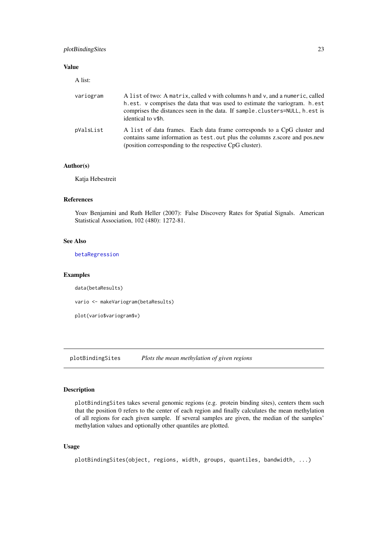#### <span id="page-22-0"></span>plotBindingSites 23

# Value

A list:

| variogram | A list of two: A matrix, called v with columns h and v, and a numeric, called<br>h.est. v comprises the data that was used to estimate the variogram. h.est<br>comprises the distances seen in the data. If sample.clusters=NULL, h.est is<br>identical to $v$ \$h. |
|-----------|---------------------------------------------------------------------------------------------------------------------------------------------------------------------------------------------------------------------------------------------------------------------|
| pValsList | A list of data frames. Each data frame corresponds to a CpG cluster and<br>contains same information as test, out plus the columns z, score and pos, new<br>(position corresponding to the respective CpG cluster).                                                 |

# Author(s)

Katja Hebestreit

### References

Yoav Benjamini and Ruth Heller (2007): False Discovery Rates for Spatial Signals. American Statistical Association, 102 (480): 1272-81.

# See Also

[betaRegression](#page-2-1)

#### Examples

data(betaResults)

vario <- makeVariogram(betaResults)

plot(vario\$variogram\$v)

plotBindingSites *Plots the mean methylation of given regions*

# Description

plotBindingSites takes several genomic regions (e.g. protein binding sites), centers them such that the position 0 refers to the center of each region and finally calculates the mean methylation of all regions for each given sample. If several samples are given, the median of the samples' methylation values and optionally other quantiles are plotted.

# Usage

plotBindingSites(object, regions, width, groups, quantiles, bandwidth, ...)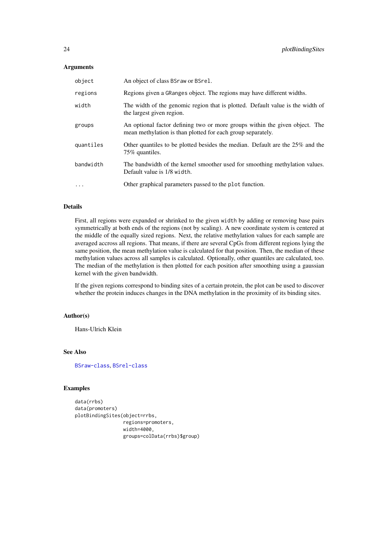# Arguments

| object    | An object of class BSraw or BSrel.                                                                                                         |
|-----------|--------------------------------------------------------------------------------------------------------------------------------------------|
| regions   | Regions given a GRanges object. The regions may have different widths.                                                                     |
| width     | The width of the genomic region that is plotted. Default value is the width of<br>the largest given region.                                |
| groups    | An optional factor defining two or more groups within the given object. The<br>mean methylation is than plotted for each group separately. |
| quantiles | Other quantiles to be plotted besides the median. Default are the 25% and the<br>75% quantiles.                                            |
| bandwidth | The bandwidth of the kernel smoother used for smoothing methylation values.<br>Default value is 1/8 width.                                 |
| $\cdots$  | Other graphical parameters passed to the plot function.                                                                                    |

# Details

First, all regions were expanded or shrinked to the given width by adding or removing base pairs symmetrically at both ends of the regions (not by scaling). A new coordinate system is centered at the middle of the equally sized regions. Next, the relative methylation values for each sample are averaged accross all regions. That means, if there are several CpGs from different regions lying the same position, the mean methylation value is calculated for that position. Then, the median of these methylation values across all samples is calculated. Optionally, other quantiles are calculated, too. The median of the methylation is then plotted for each position after smoothing using a gaussian kernel with the given bandwidth.

If the given regions correspond to binding sites of a certain protein, the plot can be used to discover whether the protein induces changes in the DNA methylation in the proximity of its binding sites.

# Author(s)

Hans-Ulrich Klein

# See Also

[BSraw-class](#page-6-1), [BSrel-class](#page-8-1)

```
data(rrbs)
data(promoters)
plotBindingSites(object=rrbs,
                 regions=promoters,
                 width=4000,
                 groups=colData(rrbs)$group)
```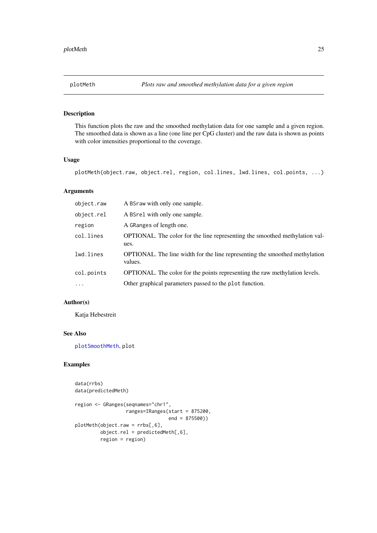<span id="page-24-1"></span><span id="page-24-0"></span>

This function plots the raw and the smoothed methylation data for one sample and a given region. The smoothed data is shown as a line (one line per CpG cluster) and the raw data is shown as points with color intensities proportional to the coverage.

# Usage

plotMeth(object.raw, object.rel, region, col.lines, lwd.lines, col.points, ...)

# Arguments

| object.raw | A BSraw with only one sample.                                                                 |
|------------|-----------------------------------------------------------------------------------------------|
| object.rel | A B S rel with only one sample.                                                               |
| region     | A GRanges of length one.                                                                      |
| col.lines  | <b>OPTIONAL.</b> The color for the line representing the smoothed methylation val-<br>ues.    |
| lwd.lines  | <b>OPTIONAL.</b> The line width for the line representing the smoothed methylation<br>values. |
| col.points | <b>OPTIONAL.</b> The color for the points representing the raw methylation levels.            |
| $\cdot$    | Other graphical parameters passed to the plot function.                                       |

# Author(s)

Katja Hebestreit

# See Also

[plotSmoothMeth](#page-26-1), plot

```
data(rrbs)
data(predictedMeth)
```

```
region <- GRanges(seqnames="chr1",
                  ranges=IRanges(start = 875200,
                                 end = 875500))
plotMeth(object.raw = rrbs[,6],
         object.rel = predictedMeth[,6],
         region = region)
```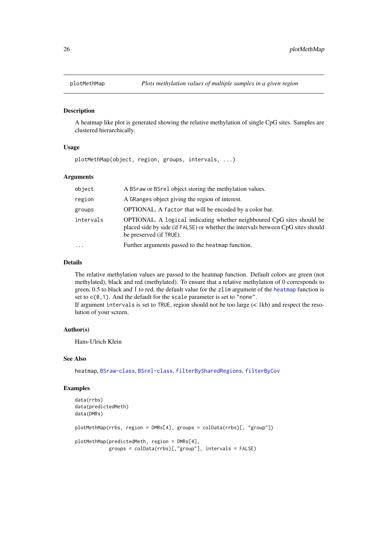<span id="page-25-0"></span>A heatmap like plot is generated showing the relative methylation of single CpG sites. Samples are clustered hierarchically.

#### Usage

plotMethMap(object, region, groups, intervals, ...)

# Arguments

| object    | A BSraw or BSrel object storing the methylation values.                                                                                                                               |
|-----------|---------------------------------------------------------------------------------------------------------------------------------------------------------------------------------------|
| region    | A GRanges object giving the region of interest.                                                                                                                                       |
| groups    | <b>OPTIONAL.</b> A factor that will be encoded by a color bar.                                                                                                                        |
| intervals | OPTIONAL. A logical indicating whether neighboured CpG sites should be<br>placed side by side (if FALSE) or whether the intervals between CpG sites should<br>be preserved (if TRUE). |
| $\cdots$  | Further arguments passed to the heatmap function.                                                                                                                                     |

# Details

The relative methylation values are passed to the heatmap function. Default colors are green (not methylated), black and red (methylated). To ensure that a relative methylation of 0 corresponds to green, 0.5 to black and 1 to red, the default value for the zlim argument of the [heatmap](#page-0-0) function is set to  $c(0,1)$ . And the default for the scale parameter is set to "none".

If argument intervals is set to TRUE, region should not be too large (< 1kb) and respect the resolution of your screen.

#### Author(s)

Hans-Ulrich Klein

# See Also

heatmap, [BSraw-class](#page-6-1), [BSrel-class](#page-8-1), [filterBySharedRegions](#page-16-1), [filterByCov](#page-15-1)

```
data(rrbs)
data(predictedMeth)
data(DMRs)
plotMethMap(rrbs, region = DMRs[4], groups = colData(rrbs)[, "group"])
plotMethMap(predictedMeth, region = DMRs[4],
           groups = colData(rrbs)[,"group"], intervals = FALSE)
```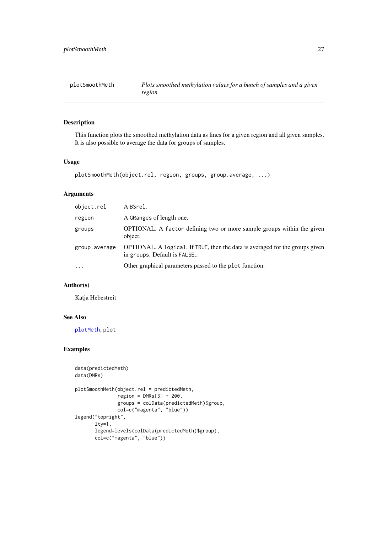<span id="page-26-1"></span><span id="page-26-0"></span>

| plotSmoothMeth | Plots smoothed methylation values for a bunch of samples and a given |
|----------------|----------------------------------------------------------------------|
|                | region                                                               |

This function plots the smoothed methylation data as lines for a given region and all given samples. It is also possible to average the data for groups of samples.

# Usage

```
plotSmoothMeth(object.rel, region, groups, group.average, ...)
```
# Arguments

| object.rel    | A BSrel.                                                                                                    |
|---------------|-------------------------------------------------------------------------------------------------------------|
| region        | A GRanges of length one.                                                                                    |
| groups        | <b>OPTIONAL.</b> A factor defining two or more sample groups within the given<br>object.                    |
| group.average | OPTIONAL. A logical. If TRUE, then the data is averaged for the groups given<br>in groups. Default is FALSE |
| $\cdots$      | Other graphical parameters passed to the plot function.                                                     |

# Author(s)

Katja Hebestreit

# See Also

[plotMeth](#page-24-1), plot

```
data(predictedMeth)
data(DMRs)
plotSmoothMeth(object.rel = predictedMeth,
               region = DMRs[3] + 200,
               groups = colData(predictedMeth)$group,
               col=c("magenta", "blue"))
legend("topright",
       lty=1,
       legend=levels(colData(predictedMeth)$group),
       col=c("magenta", "blue"))
```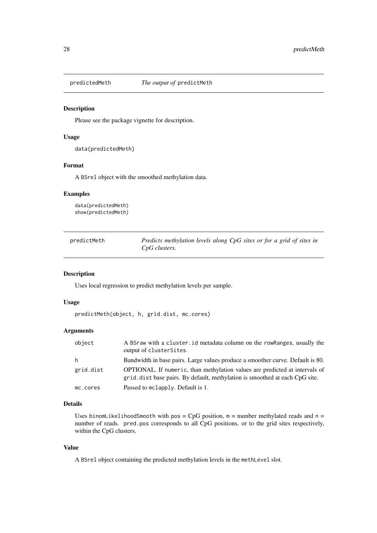<span id="page-27-0"></span>

Please see the package vignette for description.

# Usage

data(predictedMeth)

# Format

A BSrel object with the smoothed methylation data.

# Examples

data(predictedMeth) show(predictedMeth)

<span id="page-27-1"></span>

| predictMeth | Predicts methylation levels along CpG sites or for a grid of sites in |
|-------------|-----------------------------------------------------------------------|
|             | CpG clusters.                                                         |

### Description

Uses local regression to predict methylation levels per sample.

# Usage

predictMeth(object, h, grid.dist, mc.cores)

# Arguments

| object    | A BSraw with a cluster, id metadata column on the row Ranges, usually the<br>output of clusterSites.                                                               |
|-----------|--------------------------------------------------------------------------------------------------------------------------------------------------------------------|
| h         | Bandwidth in base pairs. Large values produce a smoother curve. Default is 80.                                                                                     |
| grid.dist | <b>OPTIONAL.</b> If numeric, than methylation values are predicted at intervals of<br>grid. dist base pairs. By default, methylation is smoothed at each CpG site. |
| mc.cores  | Passed to mclapply. Default is 1.                                                                                                                                  |

#### Details

Uses binomLikelihoodSmooth with pos = CpG position,  $m =$  number methylated reads and  $n =$ number of reads. pred.pos corresponds to all CpG positions, or to the grid sites respectively, within the CpG clusters.

#### Value

A BSrel object containing the predicted methylation levels in the methLevel slot.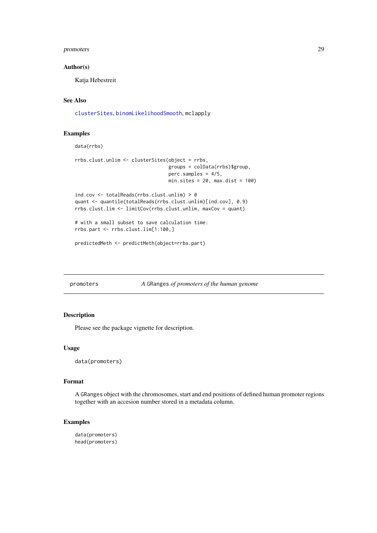#### <span id="page-28-0"></span>promoters 29

#### Author(s)

Katja Hebestreit

# See Also

[clusterSites](#page-9-1), [binomLikelihoodSmooth](#page-5-1), mclapply

# Examples

data(rrbs)

```
rrbs.clust.unlim <- clusterSites(object = rrbs,
                                 groups = colData(rrbs)$group,
                                 perc.samples = 4/5,
                                 min.sites = 20, max.dist = 100)
```

```
ind.cov <- totalReads(rrbs.clust.unlim) > 0
quant <- quantile(totalReads(rrbs.clust.unlim)[ind.cov], 0.9)
rrbs.clust.lim <- limitCov(rrbs.clust.unlim, maxCov = quant)
```

```
# with a small subset to save calculation time:
rrbs.part <- rrbs.clust.lim[1:100,]
```

```
predictedMeth <- predictMeth(object=rrbs.part)
```
promoters *A* GRanges *of promoters of the human genome*

# Description

Please see the package vignette for description.

#### Usage

data(promoters)

#### Format

A GRanges object with the chromosomes, start and end positions of defined human promoter regions together with an accesion number stored in a metadata column.

```
data(promoters)
head(promoters)
```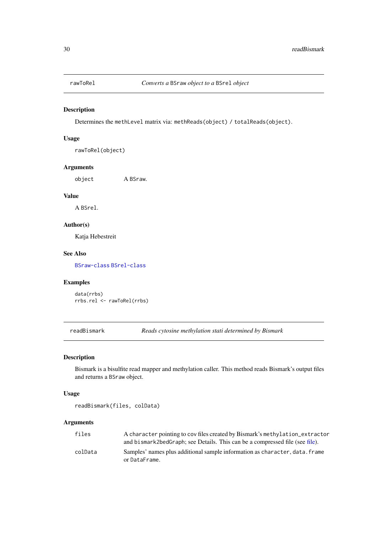<span id="page-29-0"></span>

Determines the methLevel matrix via: methReads(object) / totalReads(object).

# Usage

rawToRel(object)

# Arguments

object A BSraw.

# Value

A BSrel.

# Author(s)

Katja Hebestreit

# See Also

[BSraw-class](#page-6-1) [BSrel-class](#page-8-1)

# Examples

data(rrbs) rrbs.rel <- rawToRel(rrbs)

<span id="page-29-1"></span>readBismark *Reads cytosine methylation stati determined by Bismark*

# Description

Bismark is a bisulfite read mapper and methylation caller. This method reads Bismark's output files and returns a BSraw object.

# Usage

readBismark(files, colData)

# Arguments

| files   | A character pointing to cov files created by Bismark's methylation_extractor<br>and bismark2bedGraph; see Details. This can be a compressed file (see file). |
|---------|--------------------------------------------------------------------------------------------------------------------------------------------------------------|
| colData | Samples' names plus additional sample information as character, data, frame<br>or DataFrame.                                                                 |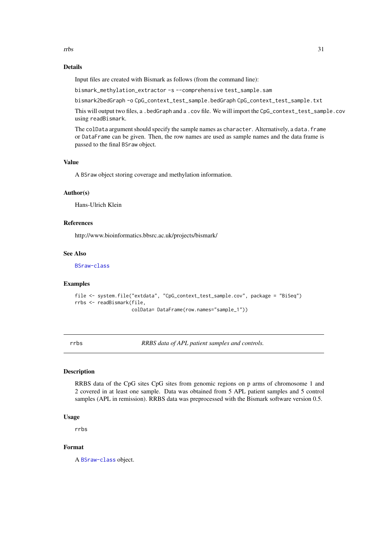<span id="page-30-0"></span>rrbs 31

#### Details

Input files are created with Bismark as follows (from the command line):

bismark\_methylation\_extractor -s --comprehensive test\_sample.sam

bismark2bedGraph -o CpG\_context\_test\_sample.bedGraph CpG\_context\_test\_sample.txt

This will output two files, a .bedGraph and a .cov file. We will import the CpG\_context\_test\_sample.cov using readBismark.

The colData argument should specify the sample names as character. Alternatively, a data. frame or DataFrame can be given. Then, the row names are used as sample names and the data frame is passed to the final BSraw object.

# Value

A BSraw object storing coverage and methylation information.

# Author(s)

Hans-Ulrich Klein

#### References

http://www.bioinformatics.bbsrc.ac.uk/projects/bismark/

# See Also

[BSraw-class](#page-6-1)

#### Examples

```
file <- system.file("extdata", "CpG_context_test_sample.cov", package = "BiSeq")
rrbs <- readBismark(file,
                    colData= DataFrame(row.names="sample_1"))
```
rrbs *RRBS data of APL patient samples and controls.*

# Description

RRBS data of the CpG sites CpG sites from genomic regions on p arms of chromosome 1 and 2 covered in at least one sample. Data was obtained from 5 APL patient samples and 5 control samples (APL in remission). RRBS data was preprocessed with the Bismark software version 0.5.

#### Usage

rrbs

#### Format

A [BSraw-class](#page-6-1) object.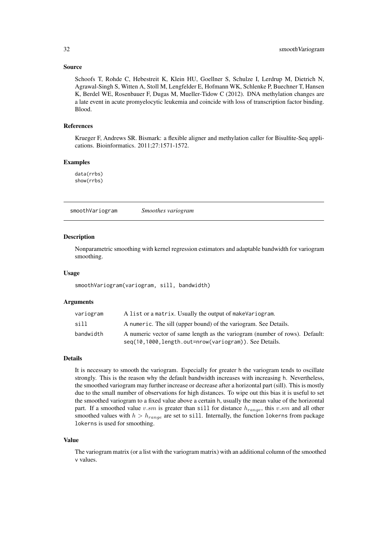#### <span id="page-31-0"></span>Source

Schoofs T, Rohde C, Hebestreit K, Klein HU, Goellner S, Schulze I, Lerdrup M, Dietrich N, Agrawal-Singh S, Witten A, Stoll M, Lengfelder E, Hofmann WK, Schlenke P, Buechner T, Hansen K, Berdel WE, Rosenbauer F, Dugas M, Mueller-Tidow C (2012). DNA methylation changes are a late event in acute promyelocytic leukemia and coincide with loss of transcription factor binding. Blood.

#### References

Krueger F, Andrews SR. Bismark: a flexible aligner and methylation caller for Bisulfite-Seq applications. Bioinformatics. 2011;27:1571-1572.

# Examples

data(rrbs) show(rrbs)

<span id="page-31-1"></span>smoothVariogram *Smoothes variogram*

#### Description

Nonparametric smoothing with kernel regression estimators and adaptable bandwidth for variogram smoothing.

#### Usage

smoothVariogram(variogram, sill, bandwidth)

# Arguments

| variogram | A list or a matrix. Usually the output of makeVariogram.                    |
|-----------|-----------------------------------------------------------------------------|
| sill      | A numeric. The sill (upper bound) of the variogram. See Details.            |
| bandwidth | A numeric vector of same length as the variogram (number of rows). Default: |
|           | seq(10,1000, length.out=nrow(variogram)). See Details.                      |

#### Details

It is necessary to smooth the variogram. Especially for greater h the variogram tends to oscillate strongly. This is the reason why the default bandwidth increases with increasing h. Nevertheless, the smoothed variogram may further increase or decrease after a horizontal part (sill). This is mostly due to the small number of observations for high distances. To wipe out this bias it is useful to set the smoothed variogram to a fixed value above a certain h, usually the mean value of the horizontal part. If a smoothed value v.sm is greater than sill for distance  $h_{range}$ , this v.sm and all other smoothed values with  $h > h_{range}$  are set to sill. Internally, the function lokerns from package lokerns is used for smoothing.

#### Value

The variogram matrix (or a list with the variogram matrix) with an additional column of the smoothed v values.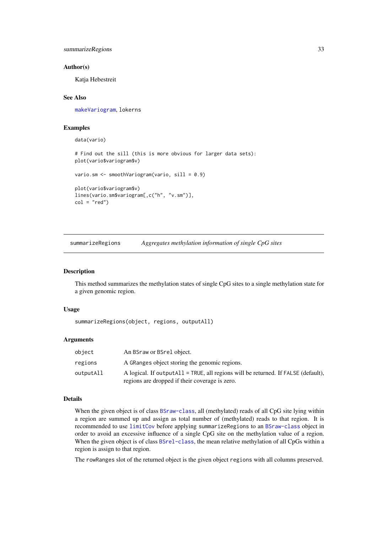<span id="page-32-0"></span>summarizeRegions 33

#### Author(s)

Katja Hebestreit

#### See Also

[makeVariogram](#page-21-1), lokerns

# Examples

data(vario) # Find out the sill (this is more obvious for larger data sets): plot(vario\$variogram\$v) vario.sm <- smoothVariogram(vario, sill = 0.9) plot(vario\$variogram\$v) lines(vario.sm\$variogram[,c("h", "v.sm")],  $col = "red")$ 

summarizeRegions *Aggregates methylation information of single CpG sites*

#### Description

This method summarizes the methylation states of single CpG sites to a single methylation state for a given genomic region.

# Usage

summarizeRegions(object, regions, outputAll)

#### Arguments

| object    | An BSraw or BSrel object.                                                                                                              |
|-----------|----------------------------------------------------------------------------------------------------------------------------------------|
| regions   | A GRanges object storing the genomic regions.                                                                                          |
| outputAll | A logical. If output All = TRUE, all regions will be returned. If $FALSE$ (default),<br>regions are dropped if their coverage is zero. |

# Details

When the given object is of class [BSraw-class](#page-6-1), all (methylated) reads of all CpG site lying within a region are summed up and assign as total number of (methylated) reads to that region. It is recommended to use [limitCov](#page-19-1) before applying summarizeRegions to an [BSraw-class](#page-6-1) object in order to avoid an excessive influence of a single CpG site on the methylation value of a region. When the given object is of class [BSrel-class](#page-8-1), the mean relative methylation of all CpGs within a region is assign to that region.

The rowRanges slot of the returned object is the given object regions with all columns preserved.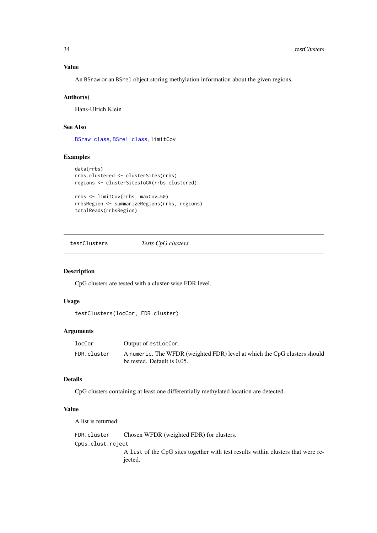# <span id="page-33-0"></span>Value

An BSraw or an BSrel object storing methylation information about the given regions.

#### Author(s)

Hans-Ulrich Klein

# See Also

[BSraw-class](#page-6-1), [BSrel-class](#page-8-1), limitCov

# Examples

```
data(rrbs)
rrbs.clustered <- clusterSites(rrbs)
regions <- clusterSitesToGR(rrbs.clustered)
```

```
rrbs <- limitCov(rrbs, maxCov=50)
rrbsRegion <- summarizeRegions(rrbs, regions)
totalReads(rrbsRegion)
```
<span id="page-33-1"></span>testClusters *Tests CpG clusters*

#### Description

CpG clusters are tested with a cluster-wise FDR level.

# Usage

testClusters(locCor, FDR.cluster)

# Arguments

| locCor      | Output of estLocCor.                                                                                     |
|-------------|----------------------------------------------------------------------------------------------------------|
| FDR.cluster | A numeric. The WFDR (weighted FDR) level at which the CpG clusters should<br>be tested. Default is 0.05. |

# Details

CpG clusters containing at least one differentially methylated location are detected.

#### Value

A list is returned:

FDR.cluster Chosen WFDR (weighted FDR) for clusters. CpGs.clust.reject A list of the CpG sites together with test results within clusters that were rejected.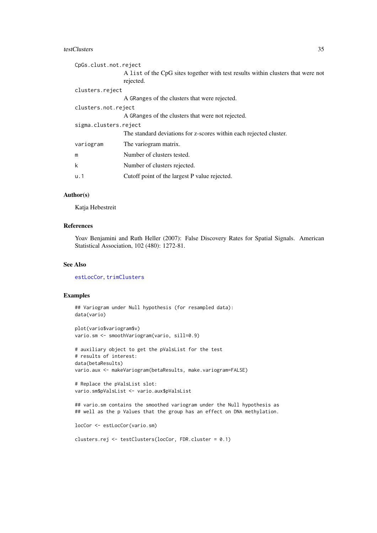#### <span id="page-34-0"></span>testClusters 35

| CpGs.clust.not.reject |                                                                                               |  |
|-----------------------|-----------------------------------------------------------------------------------------------|--|
|                       | A list of the CpG sites together with test results within clusters that were not<br>rejected. |  |
| clusters.reject       |                                                                                               |  |
|                       | A GRanges of the clusters that were rejected.                                                 |  |
| clusters.not.reject   |                                                                                               |  |
|                       | A GRanges of the clusters that were not rejected.                                             |  |
| sigma.clusters.reject |                                                                                               |  |
|                       | The standard deviations for z-scores within each rejected cluster.                            |  |
| variogram             | The variogram matrix.                                                                         |  |
| m                     | Number of clusters tested.                                                                    |  |
| k                     | Number of clusters rejected.                                                                  |  |
| u.1                   | Cutoff point of the largest P value rejected.                                                 |  |

#### Author(s)

Katja Hebestreit

# References

Yoav Benjamini and Ruth Heller (2007): False Discovery Rates for Spatial Signals. American Statistical Association, 102 (480): 1272-81.

#### See Also

[estLocCor](#page-14-1), [trimClusters](#page-35-1)

# Examples

## Variogram under Null hypothesis (for resampled data): data(vario)

plot(vario\$variogram\$v) vario.sm <- smoothVariogram(vario, sill=0.9)

# auxiliary object to get the pValsList for the test # results of interest: data(betaResults) vario.aux <- makeVariogram(betaResults, make.variogram=FALSE)

```
# Replace the pValsList slot:
vario.sm$pValsList <- vario.aux$pValsList
```
## vario.sm contains the smoothed variogram under the Null hypothesis as ## well as the p Values that the group has an effect on DNA methylation.

```
locCor <- estLocCor(vario.sm)
```

```
clusters.rej <- testClusters(locCor, FDR.cluster = 0.1)
```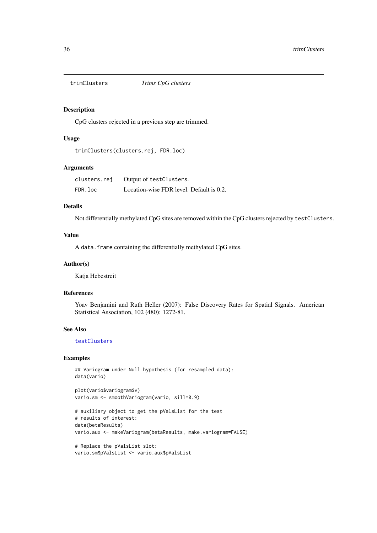<span id="page-35-1"></span><span id="page-35-0"></span>

CpG clusters rejected in a previous step are trimmed.

#### Usage

```
trimClusters(clusters.rej, FDR.loc)
```
# Arguments

clusters.rej Output of testClusters. FDR.loc Location-wise FDR level. Default is 0.2.

# Details

Not differentially methylated CpG sites are removed within the CpG clusters rejected by testClusters.

# Value

A data.frame containing the differentially methylated CpG sites.

#### Author(s)

Katja Hebestreit

#### References

Yoav Benjamini and Ruth Heller (2007): False Discovery Rates for Spatial Signals. American Statistical Association, 102 (480): 1272-81.

# See Also

# [testClusters](#page-33-1)

# Examples

```
## Variogram under Null hypothesis (for resampled data):
data(vario)
```
plot(vario\$variogram\$v) vario.sm <- smoothVariogram(vario, sill=0.9)

```
# auxiliary object to get the pValsList for the test
# results of interest:
data(betaResults)
vario.aux <- makeVariogram(betaResults, make.variogram=FALSE)
```

```
# Replace the pValsList slot:
vario.sm$pValsList <- vario.aux$pValsList
```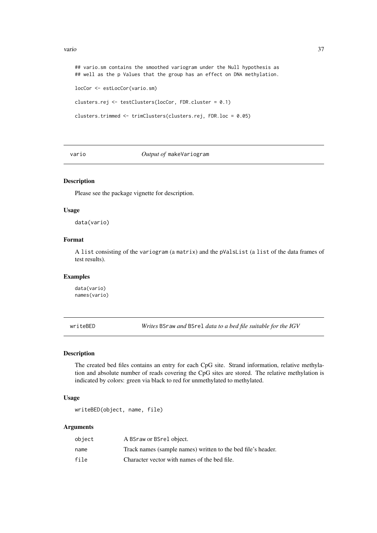#### <span id="page-36-0"></span>vario  $\frac{37}{2}$

```
## vario.sm contains the smoothed variogram under the Null hypothesis as
## well as the p Values that the group has an effect on DNA methylation.
locCor <- estLocCor(vario.sm)
clusters.rej <- testClusters(locCor, FDR.cluster = 0.1)
clusters.trimmed <- trimClusters(clusters.rej, FDR.loc = 0.05)
```
#### vario *Output of* makeVariogram

#### Description

Please see the package vignette for description.

## Usage

data(vario)

# Format

A list consisting of the variogram (a matrix) and the pValsList (a list of the data frames of test results).

# Examples

data(vario) names(vario)

writeBED *Writes* BSraw *and* BSrel *data to a bed file suitable for the IGV*

#### Description

The created bed files contains an entry for each CpG site. Strand information, relative methylation and absolute number of reads covering the CpG sites are stored. The relative methylation is indicated by colors: green via black to red for unmethylated to methylated.

# Usage

```
writeBED(object, name, file)
```
### Arguments

| object | A BSraw or BSrel object.                                     |
|--------|--------------------------------------------------------------|
| name   | Track names (sample names) written to the bed file's header. |
| file   | Character vector with names of the bed file.                 |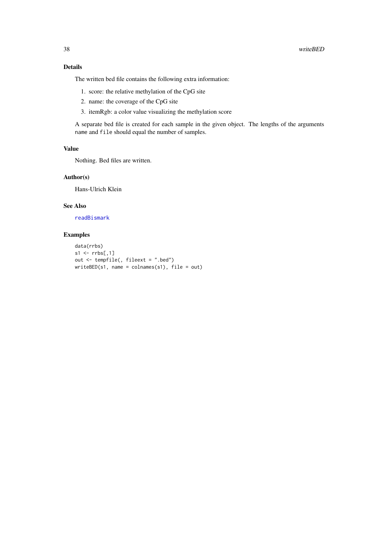## <span id="page-37-0"></span>Details

The written bed file contains the following extra information:

- 1. score: the relative methylation of the CpG site
- 2. name: the coverage of the CpG site
- 3. itemRgb: a color value visualizing the methylation score

A separate bed file is created for each sample in the given object. The lengths of the arguments name and file should equal the number of samples.

# Value

Nothing. Bed files are written.

# Author(s)

Hans-Ulrich Klein

# See Also

[readBismark](#page-29-1)

```
data(rrbs)
s1 \leftarrow \text{rrbs}[,1]out \leq tempfile(, fileext = ".bed")
writeBED(s1, name = colnames(s1), file = out)
```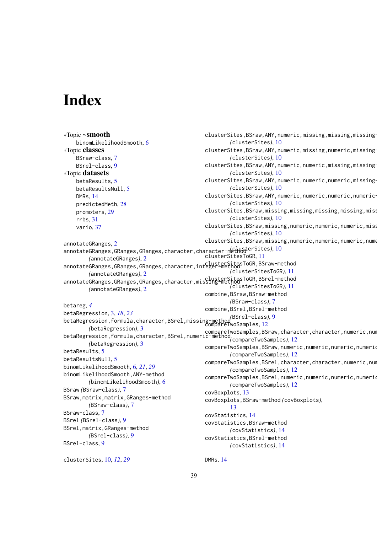# <span id="page-38-0"></span>Index

```
∗Topic ~smooth
    binomLikelihoodSmooth, 6
∗Topic classes
    BSraw-class, 7
    BSrel-class, 9
∗Topic datasets
    betaResults, 5
    betaResultsNull, 5
    DMRs, 14
    predictedMeth, 28
    promoters, 29
    rrbs, 31
    vario, 37
annotateGRanges, 2
10
        (annotateGRanges), 2
annotateGRanges,GRanges,GRanges,character,integer-methodsToGR,BSraw-method
        (annotateGRanges), 2
annotateGRanges,GRanges,GRanges,character,misSing-method
        (annotateGRanges), 2
betareg, 4
betaRegression, 3, 18, 23
betaRegression,formula,character,BSrel,missing-method
(BSrel-class), 9
        (betaRegression), 3
betaRegression,formula,character,BSrel,numeric-method
compareTwoSamples,BSraw,character,character,numeric,numeric-method
        (betaRegression), 3
betaResults, 5
betaResultsNull, 5
binomLikelihoodSmooth, 6, 21, 29
binomLikelihoodSmooth,ANY-method
        (binomLikelihoodSmooth), 6
BSraw (BSraw-class), 7
BSraw,matrix,matrix,GRanges-method
        (BSraw-class), 7
BSraw-class, 7
BSrel (BSrel-class), 9
BSrel,matrix,GRanges-method
        (BSrel-class), 9
BSrel-class, 9
clusterSites, 10, 12, 29
                                              clusterSites, BSraw, ANY, numeric, missing, missing, missing-
                                                      (clusterSites), 10
                                              clusterSites,BSraw,ANY,numeric,missing,numeric,missing-
                                                      (clusterSites), 10
                                              clusterSites, BSraw, ANY, numeric, numeric, missing, missing-
                                                      (clusterSites), 10
                                              clusterSites, BSraw, ANY, numeric, numeric, numeric, missing-
                                                      (clusterSites), 10
                                              clusterSites, BSraw, ANY, numeric, numeric, numeric-
                                                      (clusterSites), 10
                                              clusterSites,BSraw,missing,missing,missing,missing,miss
                                                      (clusterSites), 10
                                              clusterSites,BSraw,missing,numeric,numeric,numeric,missing-
                                                      (clusterSites), 10
                                              clusterSites,BSraw,missing,numeric,numeric,numeric,nume
                                              clusterSitesToGR, 11
                                                      (clusterSitesToGR), 11
                                                      (clusterSitesToGR), 11
                                              combine,BSraw,BSraw-method
                                                      (BSraw-class), 7
                                              combine,BSrel,BSrel-method
                                              compareTwoSamples, 12
                                                       (compareTwoSamples), 12
                                              compareTwoSamples,BSraw,numeric,numeric,numeric,numerio
                                                      (compareTwoSamples), 12
                                              compareTwoSamples,BSrel,character,character,numeric,num
                                                      (compareTwoSamples), 12
                                              compareTwoSamples,BSrel,numeric,numeric,numeric,numeric
                                                      (compareTwoSamples), 12
                                              covBoxplots, 13
                                              covBoxplots,BSraw-method (covBoxplots),
                                                      13
                                              covStatistics, 14
                                              covStatistics,BSraw-method
                                                      (covStatistics), 14
                                              covStatistics,BSrel-method
                                                      (covStatistics), 14
                                              DMRs, 14
```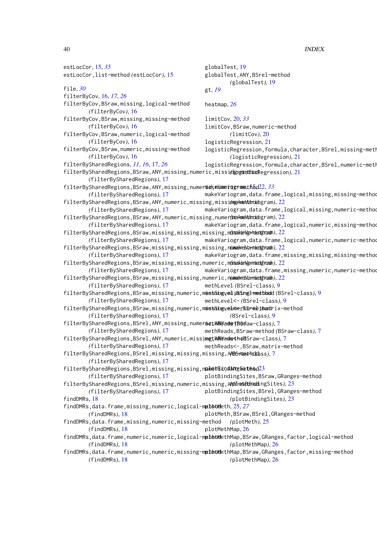estLocCor, [15,](#page-14-0) *[35](#page-34-0)* estLocCor,list-method *(*estLocCor*)*, [15](#page-14-0) file, *[30](#page-29-0)* filterByCov, [16,](#page-15-0) *[17](#page-16-0)*, *[26](#page-25-0)* filterByCov,BSraw,missing,logical-method *(*filterByCov*)*, [16](#page-15-0) filterByCov,BSraw,missing,missing-method *(*filterByCov*)*, [16](#page-15-0) filterByCov,BSraw,numeric,logical-method *(*filterByCov*)*, [16](#page-15-0) filterByCov,BSraw,numeric,missing-method *(*filterByCov*)*, [16](#page-15-0) filterBySharedRegions, *[11](#page-10-0)*, *[16](#page-15-0)*, [17,](#page-16-0) *[26](#page-25-0)* filterBySharedRegions,BSraw,ANY,missing,numeric,missing-method *(*logisticRegression*)*, [21](#page-20-0) *(*filterBySharedRegions*)*, [17](#page-16-0) filterBySharedRegions,BSraw,ANY,missing,numermickelanerogrameth5d[22,](#page-21-0)[33](#page-32-0) *(*filterBySharedRegions*)*, [17](#page-16-0) filterBySharedRegions,BSraw,ANY,numeric,missing,missing-method *(*makeVariogram*)*, [22](#page-21-0) *(*filterBySharedRegions*)*, [17](#page-16-0) filterBySharedRegions,BSraw,ANY,numeric,missing,numeric-method *(*makeVariogram*)*, [22](#page-21-0) *(*filterBySharedRegions*)*, [17](#page-16-0) filterBySharedRegions,BSraw,missing,missing,missing,m*imakieNgamiedtroad*n),[22](#page-21-0) *(*filterBySharedRegions*)*, [17](#page-16-0) filterBySharedRegions,BSraw,missing,missing,missing,n(makeVarmietthramh), [22](#page-21-0) *(*filterBySharedRegions*)*, [17](#page-16-0) filterBySharedRegions,BSraw,missing,missing,numeric,m*insakiaNgamiedtaroah)*,[22](#page-21-0) *(*filterBySharedRegions*)*, [17](#page-16-0) filterBySharedRegions,BSraw,missing,missing,numeric,n(makeVarmietthramh), [22](#page-21-0) *(*filterBySharedRegions*)*, [17](#page-16-0) filterBySharedRegions,BSraw,missing,numeric,missing,missing-method methLevel,BSrel-method *(*BSrel-class*)*, [9](#page-8-0) *(*filterBySharedRegions*)*, [17](#page-16-0) filterBySharedRegions,BSraw,missing,numeric,misthingyelmertisrelthadrix-method *(*filterBySharedRegions*)*, [17](#page-16-0) filterBySharedRegions,BSrel,ANY,missing,numeric,ANY-method methReads *(*BSraw-class*)*, [7](#page-6-0) *(*filterBySharedRegions*)*, [17](#page-16-0) filterBySharedRegions,BSrel,ANY,numeric,missing,ANY-method methReads<- *(*BSraw-class*)*, [7](#page-6-0) *(*filterBySharedRegions*)*, [17](#page-16-0) filterBySharedRegions,BSrel,missing,missing,missing,ANY-method *(*BSraw-class*)*, [7](#page-6-0) *(*filterBySharedRegions*)*, [17](#page-16-0) filterBySharedRegions,BSrel,missing,missing,nahetBindANYg&ietesd[23](#page-22-0) *(*filterBySharedRegions*)*, [17](#page-16-0) filterBySharedRegions,BSrel,missing,numeric,missing,A**M)4-ontBinodi**ngSites),[23](#page-22-0) *(*filterBySharedRegions*)*, [17](#page-16-0) findDMRs, [18](#page-17-0) findDMRs,data.frame,missing,numeric,logical-methoddeth, [25,](#page-24-0) [27](#page-26-0) *(*findDMRs*)*, [18](#page-17-0) findDMRs,data.frame,missing,numeric,missing-method *(*findDMRs*)*, [18](#page-17-0) findDMRs,data.frame,numeric,numeric,logical-methoddethMap,BSraw,GRanges,factor,logical-method *(*findDMRs*)*, [18](#page-17-0) findDMRs,data.frame,numeric,numeric,missing-methoddethMap,BSraw,GRanges,factor,missing-method *(*findDMRs*)*, [18](#page-17-0) globalTest, [19](#page-18-0) globalTest,ANY,BSrel-method *(*globalTest*)*, [19](#page-18-0) gt, *[19](#page-18-0)* heatmap, *[26](#page-25-0)* limitCov, [20,](#page-19-0) *[33](#page-32-0)* limitCov,BSraw,numeric-method *(*limitCov*)*, [20](#page-19-0) logisticRegression, [21](#page-20-0) logisticRegression,formula,character,BSrel,missing-meth *(*logisticRegression*)*, [21](#page-20-0) logisticRegression,formula,character,BSrel,numeric-meth makeVariogram,data.frame,logical,missing,missing-method makeVariogram,data.frame,logical,missing,numeric-method makeVariogram,data.frame,logical,numeric,missing-method makeVariogram,data.frame,logical,numeric,numeric-method makeVariogram,data.frame,missing,missing,missing-method makeVariogram,data.frame,missing,numeric,numeric-method methLevel *(*BSrel-class*)*, [9](#page-8-0) methLevel<- *(*BSrel-class*)*, [9](#page-8-0) *(*BSrel-class*)*, [9](#page-8-0) methReads,BSraw-method *(*BSraw-class*)*, [7](#page-6-0) methReads<-,BSraw,matrix-method plotBindingSites,BSraw,GRanges-method plotBindingSites,BSrel,GRanges-method *(*plotBindingSites*)*, [23](#page-22-0) plotMeth,BSraw,BSrel,GRanges-method *(*plotMeth*)*, [25](#page-24-0) plotMethMap, [26](#page-25-0) *(*plotMethMap*)*, [26](#page-25-0) *(*plotMethMap*)*, [26](#page-25-0)